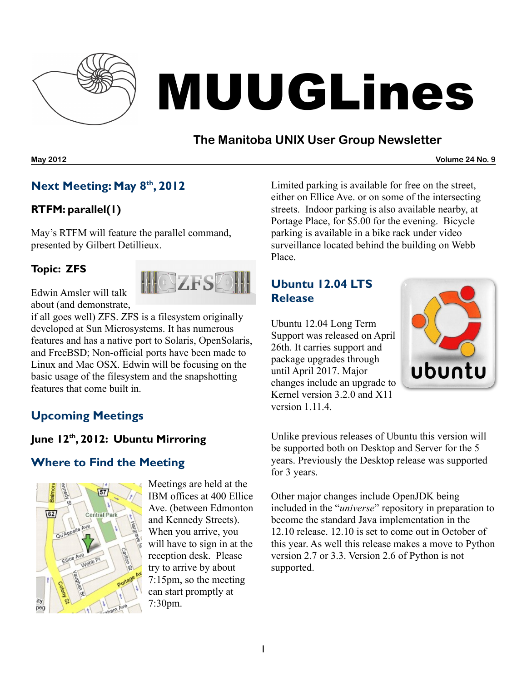

# MUUGLines

# **The Manitoba UNIX User Group Newsletter**

**May 2012 Volume 24 No. 9**

# **Next Meeting: May 8 th , 2012**

## **RTFM: parallel(1)**

May's RTFM will feature the parallel command, presented by Gilbert Detillieux.

#### **Topic: ZFS**



Edwin Amsler will talk about (and demonstrate,

if all goes well) ZFS. ZFS is a filesystem originally developed at Sun Microsystems. It has numerous features and has a native port to Solaris, OpenSolaris, and FreeBSD; Non-official ports have been made to Linux and Mac OSX. Edwin will be focusing on the basic usage of the filesystem and the snapshotting features that come built in.

# **Upcoming Meetings**

## **June 12 th , 2012: Ubuntu Mirroring**

## **Where to Find the Meeting**



Meetings are held at the IBM offices at 400 Ellice Ave. (between Edmonton and Kennedy Streets). When you arrive, you will have to sign in at the reception desk. Please try to arrive by about 7:15pm, so the meeting can start promptly at 7:30pm.

Limited parking is available for free on the street, either on Ellice Ave. or on some of the intersecting streets. Indoor parking is also available nearby, at Portage Place, for \$5.00 for the evening. Bicycle parking is available in a bike rack under video surveillance located behind the building on Webb Place.

## **Ubuntu 12.04 LTS Release**

Ubuntu 12.04 Long Term Support was released on April 26th. It carries support and package upgrades through until April 2017. Major changes include an upgrade to Kernel version 3.2.0 and X11 version 1.11.4.



Unlike previous releases of Ubuntu this version will be supported both on Desktop and Server for the 5 years. Previously the Desktop release was supported for 3 years.

Other major changes include OpenJDK being included in the "*universe*" repository in preparation to become the standard Java implementation in the 12.10 release. 12.10 is set to come out in October of this year. As well this release makes a move to Python version 2.7 or 3.3. Version 2.6 of Python is not supported.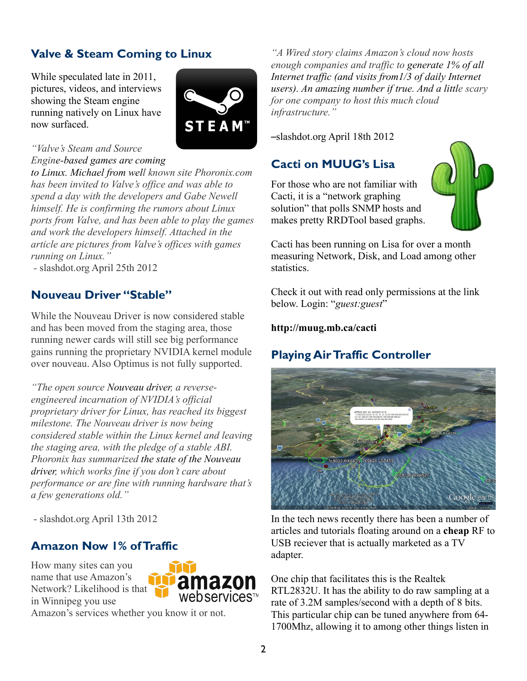# **Valve & Steam Coming to Linux**

While speculated late in 2011, pictures, videos, and interviews showing the Steam engine running natively on Linux have now surfaced.



#### *"Valve's Steam and Source Engine-based games are coming*

*to Linux. Michael from well known site Phoronix.com has been invited to Valve's office and was able to spend a day with the developers and Gabe Newell himself. He is confirming the rumors about Linux ports from Valve, and has been able to play the games and work the developers himself. Attached in the article are pictures from Valve's offices with games running on Linux."*

 *-* slashdot.org April 25th 2012

#### **Nouveau Driver "Stable"**

While the Nouveau Driver is now considered stable and has been moved from the staging area, those running newer cards will still see big performance gains running the proprietary NVIDIA kernel module over nouveau. Also Optimus is not fully supported.

*"The open source Nouveau driver, a reverseengineered incarnation of NVIDIA's official proprietary driver for Linux, has reached its biggest milestone. The Nouveau driver is now being considered stable within the Linux kernel and leaving the staging area, with the pledge of a stable ABI. Phoronix has summarized the state of the Nouveau driver, which works fine if you don't care about performance or are fine with running hardware that's a few generations old."*

- slashdot.org April 13th 2012

## **Amazon Now 1% ofTraffic**

How many sites can you name that use Amazon's Network? Likelihood is that in Winnipeg you use



Amazon's services whether you know it or not.

*"A Wired story claims Amazon's cloud now hosts enough companies and traffic to generate 1% of all Internet traffic (and visits from1/3 of daily Internet users). An amazing number if true. And a little scary for one company to host this much cloud infrastructure."*

–slashdot.org April 18th 2012

#### **Cacti on MUUG's Lisa**

For those who are not familiar with Cacti, it is a "network graphing solution" that polls SNMP hosts and makes pretty RRDTool based graphs.



Cacti has been running on Lisa for over a month measuring Network, Disk, and Load among other statistics.

Check it out with read only permissions at the link below. Login: "*guest:guest*"

#### **<http://muug.mb.ca/cacti>**

## **Playing AirTraffic Controller**



In the tech news recently there has been a number of articles and tutorials floating around on a **cheap** RF to USB reciever that is actually marketed as a TV adapter.

One chip that facilitates this is the Realtek RTL2832U. It has the ability to do raw sampling at a rate of 3.2M samples/second with a depth of 8 bits. This particular chip can be tuned anywhere from 64- 1700Mhz, allowing it to among other things listen in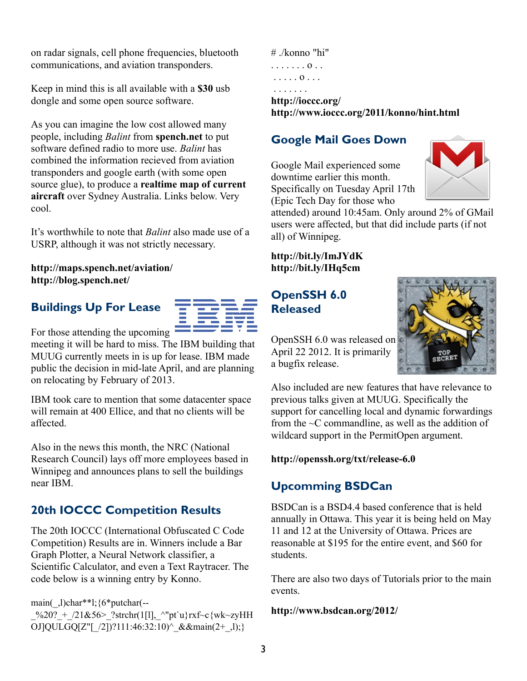on radar signals, cell phone frequencies, bluetooth communications, and aviation transponders.

Keep in mind this is all available with a **\$30** usb dongle and some open source software.

As you can imagine the low cost allowed many people, including *Balint* from **[spench.net](http://spench.net/)** to put software defined radio to more use. *Balint* has combined the information recieved from aviation transponders and google earth (with some open source glue), to produce a **realtime map of current aircraft** over Sydney Australia. Links below. Very cool.

It's worthwhile to note that *Balint* also made use of a USRP, although it was not strictly necessary.

#### **<http://maps.spench.net/aviation/> <http://blog.spench.net/>**

# **Buildings Up For Lease**



For those attending the upcoming

meeting it will be hard to miss. The IBM building that MUUG currently meets in is up for lease. IBM made public the decision in mid-late April, and are planning on relocating by February of 2013.

IBM took care to mention that some datacenter space will remain at 400 Ellice, and that no clients will be affected.

Also in the news this month, the NRC (National Research Council) lays off more employees based in Winnipeg and announces plans to sell the buildings near IBM.

# **20th IOCCC Competition Results**

The 20th IOCCC (International Obfuscated C Code Competition) Results are in. Winners include a Bar Graph Plotter, a Neural Network classifier, a Scientific Calculator, and even a Text Raytracer. The code below is a winning entry by Konno.

main(\_,l)char\*\*l;{6\*putchar(--

 $\%20?$  +  $/21&56$ > ?strchr(1[l], ^"pt`u}rxf~c{wk~zyHH OJ]QULGQ[Z"[\_/2])?111:46:32:10)^\_&&main(2+\_,l);}

# ./konno "hi" . . . . . . . o . . . . . . . o . . . . . . . . . .

**<http://ioccc.org/> <http://www.ioccc.org/2011/konno/hint.html>**

#### **Google Mail Goes Down**

Google Mail experienced some downtime earlier this month. Specifically on Tuesday April 17th (Epic Tech Day for those who



attended) around 10:45am. Only around 2% of GMail users were affected, but that did include parts (if not all) of Winnipeg.

**<http://bit.ly/ImJYdK> <http://bit.ly/IHq5cm>**

#### **OpenSSH 6.0 Released**



OpenSSH 6.0 was released on April 22 2012. It is primarily a bugfix release.

Also included are new features that have relevance to previous talks given at MUUG. Specifically the support for cancelling local and dynamic forwardings from the  $\sim$ C commandline, as well as the addition of wildcard support in the PermitOpen argument.

#### **<http://openssh.org/txt/release-6.0>**

## **Upcomming BSDCan**

BSDCan is a BSD4.4 based conference that is held annually in Ottawa. This year it is being held on May 11 and 12 at the University of Ottawa. Prices are reasonable at \$195 for the entire event, and \$60 for students.

There are also two days of Tutorials prior to the main events.

#### **<http://www.bsdcan.org/2012/>**